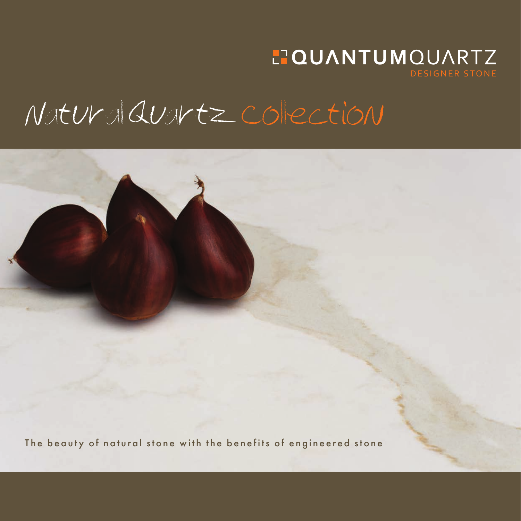### **HOUANTUMOUARTZ DESIGNER STONE**

## Natural Quartz collection

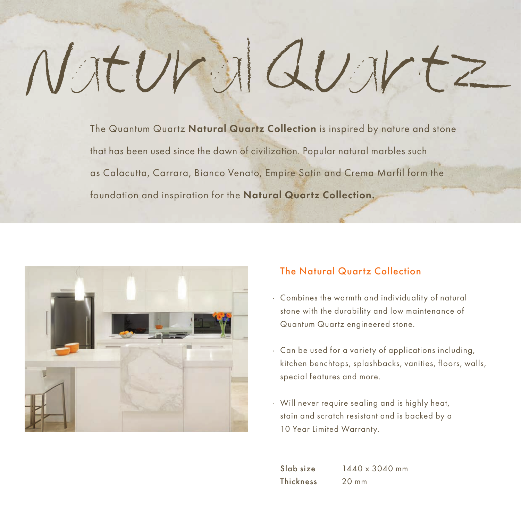# Natural Quartz

The Quantum Quartz Natural Quartz Collection is inspired by nature and stone that has been used since the dawn of civilization. Popular natural marbles such as Calacutta, Carrara, Bianco Venato, Empire Satin and Crema Marfil form the foundation and inspiration for the Natural Quartz Collection.



#### The Natural Quartz Collection

- · Combines the warmth and individuality of natural stone with the durability and low maintenance of Quantum Quartz engineered stone.
- · Can be used for a variety of applications including, kitchen benchtops, splashbacks, vanities, floors, walls, special features and more.
- · Will never require sealing and is highly heat, stain and scratch resistant and is backed by a 10 Year Limited Warranty.

 $S_{\text{lab}}$  size  $1440 \times 3040$  mm Thickness 20 mm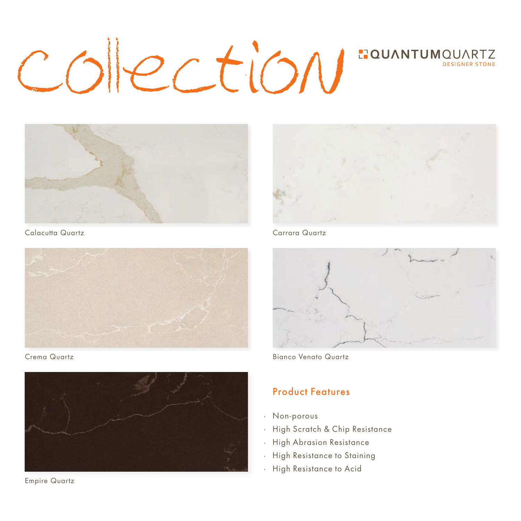## colection **LTQUANTUMOUARTZ**



Calacutta Quartz Carrara Quartz



Crema Quartz



Empire Quartz





Bianco Venato Quartz

#### Product Features

- · Non-porous
- · High Scratch & Chip Resistance
- · High Abrasion Resistance
- · High Resistance to Staining
- · High Resistance to Acid